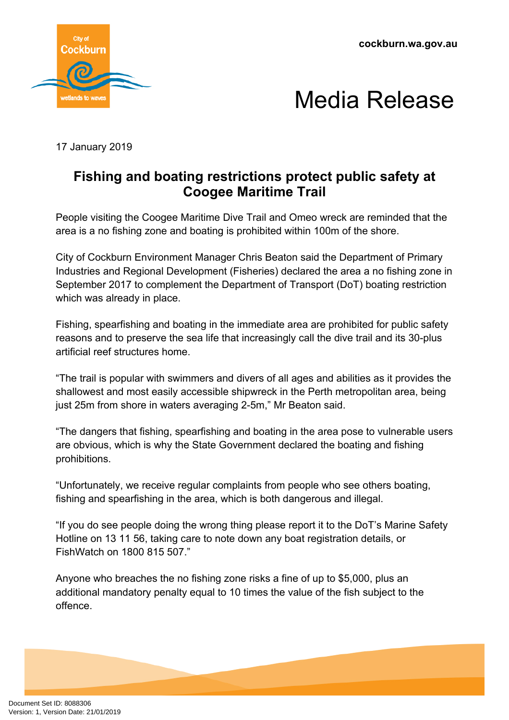**cockburn.wa.gov.au**





17 January 2019

## **Fishing and boating restrictions protect public safety at Coogee Maritime Trail**

People visiting the Coogee Maritime Dive Trail and Omeo wreck are reminded that the area is a no fishing zone and boating is prohibited within 100m of the shore.

City of Cockburn Environment Manager Chris Beaton said the Department of Primary Industries and Regional Development (Fisheries) declared the area a no fishing zone in September 2017 to complement the Department of Transport (DoT) boating restriction which was already in place.

Fishing, spearfishing and boating in the immediate area are prohibited for public safety reasons and to preserve the sea life that increasingly call the dive trail and its 30-plus artificial reef structures home.

"The trail is popular with swimmers and divers of all ages and abilities as it provides the shallowest and most easily accessible shipwreck in the Perth metropolitan area, being just 25m from shore in waters averaging 2-5m," Mr Beaton said.

"The dangers that fishing, spearfishing and boating in the area pose to vulnerable users are obvious, which is why the State Government declared the boating and fishing prohibitions.

"Unfortunately, we receive regular complaints from people who see others boating, fishing and spearfishing in the area, which is both dangerous and illegal.

"If you do see people doing the wrong thing please report it to the DoT's Marine Safety Hotline on 13 11 56, taking care to note down any boat registration details, or FishWatch on 1800 815 507."

Anyone who breaches the no fishing zone risks a fine of up to \$5,000, plus an additional mandatory penalty equal to 10 times the value of the fish subject to the offence.